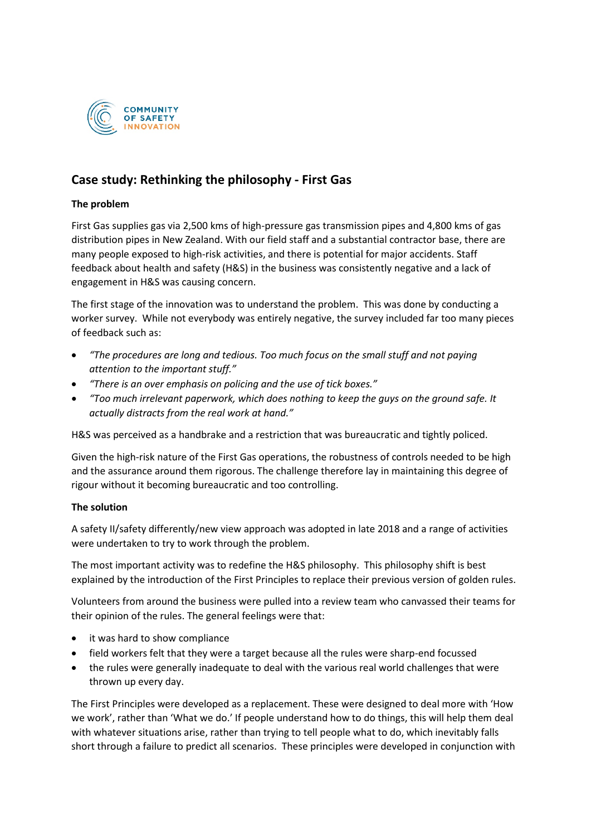

## **Case study: Rethinking the philosophy - First Gas**

### **The problem**

First Gas supplies gas via 2,500 kms of high-pressure gas transmission pipes and 4,800 kms of gas distribution pipes in New Zealand. With our field staff and a substantial contractor base, there are many people exposed to high-risk activities, and there is potential for major accidents. Staff feedback about health and safety (H&S) in the business was consistently negative and a lack of engagement in H&S was causing concern.

The first stage of the innovation was to understand the problem. This was done by conducting a worker survey. While not everybody was entirely negative, the survey included far too many pieces of feedback such as:

- *"The procedures are long and tedious. Too much focus on the small stuff and not paying attention to the important stuff."*
- *"There is an over emphasis on policing and the use of tick boxes."*
- *"Too much irrelevant paperwork, which does nothing to keep the guys on the ground safe. It actually distracts from the real work at hand."*

H&S was perceived as a handbrake and a restriction that was bureaucratic and tightly policed.

Given the high-risk nature of the First Gas operations, the robustness of controls needed to be high and the assurance around them rigorous. The challenge therefore lay in maintaining this degree of rigour without it becoming bureaucratic and too controlling.

#### **The solution**

A safety II/safety differently/new view approach was adopted in late 2018 and a range of activities were undertaken to try to work through the problem.

The most important activity was to redefine the H&S philosophy. This philosophy shift is best explained by the introduction of the First Principles to replace their previous version of golden rules.

Volunteers from around the business were pulled into a review team who canvassed their teams for their opinion of the rules. The general feelings were that:

- it was hard to show compliance
- field workers felt that they were a target because all the rules were sharp-end focussed
- the rules were generally inadequate to deal with the various real world challenges that were thrown up every day.

The First Principles were developed as a replacement. These were designed to deal more with 'How we work', rather than 'What we do.' If people understand how to do things, this will help them deal with whatever situations arise, rather than trying to tell people what to do, which inevitably falls short through a failure to predict all scenarios. These principles were developed in conjunction with